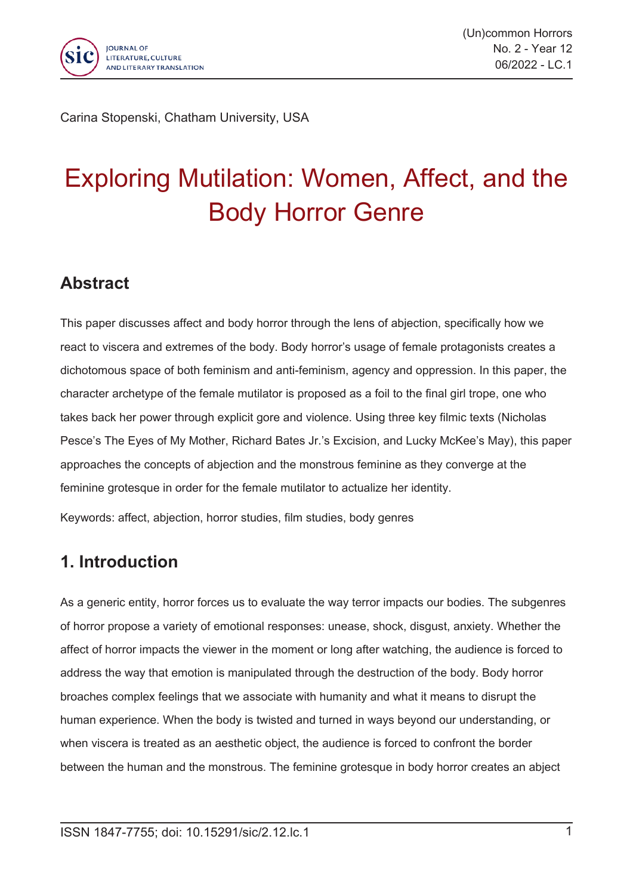

Carina Stopenski, Chatham University, USA

# Exploring Mutilation: Women, Affect, and the Body Horror Genre

### **Abstract**

This paper discusses affect and body horror through the lens of abjection, specifically how we react to viscera and extremes of the body. Body horror's usage of female protagonists creates <sup>a</sup> dichotomous space of both feminism and anti-feminism, agency and oppression. In this paper, the character archetype of the female mutilator is proposed as <sup>a</sup> foil to the final girl trope, one who takes back her power through explicit gore and violence. Using three key filmic texts (Nicholas Pesce's The Eyes of My Mother, Richard Bates Jr.'s Excision, and Lucky McKee's May), this paper approaches the concepts of abjection and the monstrous feminine as they converge at the feminine grotesque in order for the female mutilator to actualize her identity.

Keywords: affect, abjection, horror studies, film studies, body genres

### **1. Introduction**

As <sup>a</sup> generic entity, horror forces us to evaluate the way terror impacts our bodies. The subgenres of horror propose <sup>a</sup> variety of emotional responses: unease, shock, disgust, anxiety. Whether the affect of horror impacts the viewer in the moment or long after watching, the audience is forced to address the way that emotion is manipulated through the destruction of the body. Body horror broaches complex feelings that we associate with humanity and what it means to disrupt the human experience. When the body is twisted and turned in ways beyond our understanding, or when viscera is treated as an aesthetic object, the audience is forced to confront the border between the human and the monstrous. The feminine grotesque in body horror creates an abject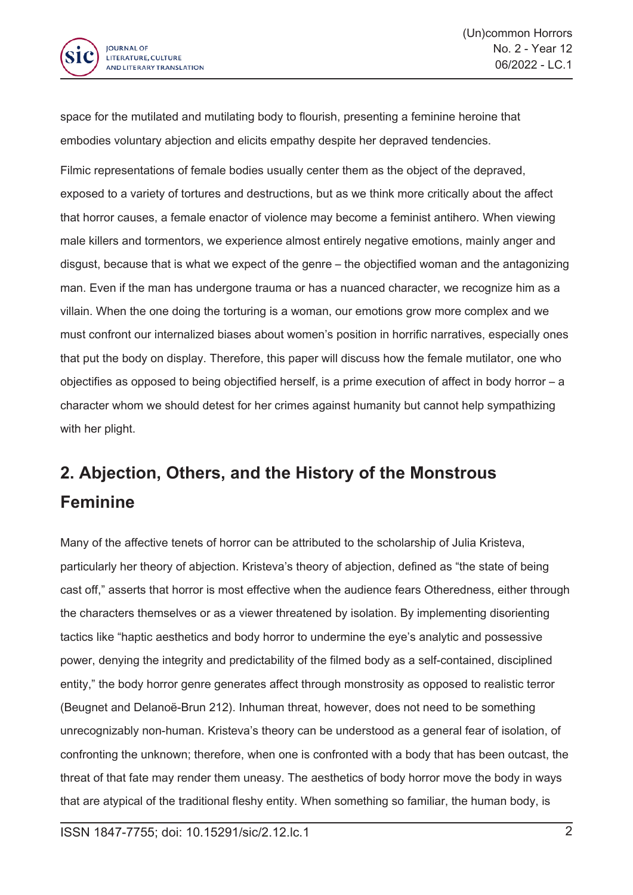

space for the mutilated and mutilating body to flourish, presenting <sup>a</sup> feminine heroine that embodies voluntary abjection and elicits empathy despite her depraved tendencies.

Filmic representations of female bodies usually center them as the object of the depraved, exposed to <sup>a</sup> variety of tortures and destructions, but as we think more critically about the affect that horror causes, <sup>a</sup> female enactor of violence may become <sup>a</sup> feminist antihero. When viewing male killers and tormentors, we experience almost entirely negative emotions, mainly anger and disgust, because that is what we expect of the genre – the objectified woman and the antagonizing man. Even if the man has undergone trauma or has <sup>a</sup> nuanced character, we recognize him as <sup>a</sup> villain. When the one doing the torturing is <sup>a</sup> woman, our emotions grow more complex and we must confront our internalized biases about women's position in horrific narratives, especially ones that put the body on display. Therefore, this paper will discuss how the female mutilator, one who objectifies as opposed to being objectified herself, is <sup>a</sup> prime execution of affect in body horror – <sup>a</sup> character whom we should detest for her crimes against humanity but cannot help sympathizing with her plight.

## **2. Abjection, Others, and the History of the Monstrous Feminine**

Many of the affective tenets of horror can be attributed to the scholarship of Julia Kristeva, particularly her theory of abjection. Kristeva's theory of abjection, defined as "the state of being cast off," asserts that horror is most effective when the audience fears Otheredness, either through the characters themselves or as <sup>a</sup> viewer threatened by isolation. By implementing disorienting tactics like "haptic aesthetics and body horror to undermine the eye's analytic and possessive power, denying the integrity and predictability of the filmed body as <sup>a</sup> self-contained, disciplined entity," the body horror genre generates affect through monstrosity as opposed to realistic terror (Beugnet and Delanoë-Brun 212). Inhuman threat, however, does not need to be something unrecognizably non-human. Kristeva's theory can be understood as <sup>a</sup> general fear of isolation, of confronting the unknown; therefore, when one is confronted with <sup>a</sup> body that has been outcast, the threat of that fate may render them uneasy. The aesthetics of body horror move the body in ways that are atypical of the traditional fleshy entity. When something so familiar, the human body, is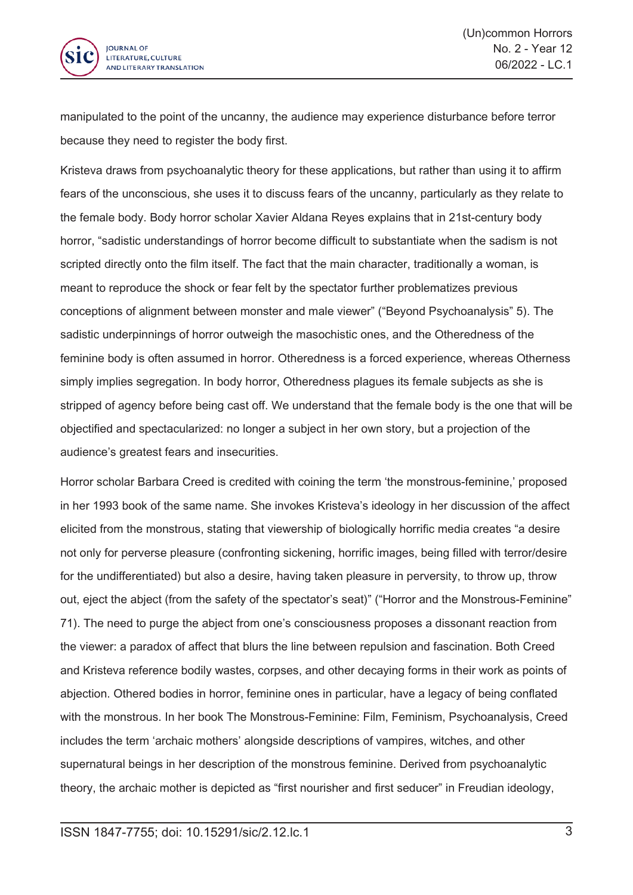

manipulated to the point of the uncanny, the audience may experience disturbance before terror because they need to register the body first.

Kristeva draws from psychoanalytic theory for these applications, but rather than using it to affirm fears of the unconscious, she uses it to discuss fears of the uncanny, particularly as they relate to the female body. Body horror scholar Xavier Aldana Reyes explains that in 21st-century body horror, "sadistic understandings of horror become difficult to substantiate when the sadism is not scripted directly onto the film itself. The fact that the main character, traditionally <sup>a</sup> woman, is meant to reproduce the shock or fear felt by the spectator further problematizes previous conceptions of alignment between monster and male viewer" ("Beyond Psychoanalysis" 5). The sadistic underpinnings of horror outweigh the masochistic ones, and the Otheredness of the feminine body is often assumed in horror. Otheredness is <sup>a</sup> forced experience, whereas Otherness simply implies segregation. In body horror, Otheredness plagues its female subjects as she is stripped of agency before being cast off. We understand that the female body is the one that will be objectified and spectacularized: no longer <sup>a</sup> subject in her own story, but <sup>a</sup> projection of the audience's greatest fears and insecurities.

Horror scholar Barbara Creed is credited with coining the term 'the monstrous-feminine,' proposed in her 1993 book of the same name. She invokes Kristeva's ideology in her discussion of the affect elicited from the monstrous, stating that viewership of biologically horrific media creates "a desire not only for perverse pleasure (confronting sickening, horrific images, being filled with terror/desire for the undifferentiated) but also <sup>a</sup> desire, having taken pleasure in perversity, to throw up, throw out, eject the abject (from the safety of the spectator's seat)" ("Horror and the Monstrous-Feminine" 71). The need to purge the abject from one's consciousness proposes <sup>a</sup> dissonant reaction from the viewer: <sup>a</sup> paradox of affect that blurs the line between repulsion and fascination. Both Creed and Kristeva reference bodily wastes, corpses, and other decaying forms in their work as points of abjection. Othered bodies in horror, feminine ones in particular, have <sup>a</sup> legacy of being conflated with the monstrous. In her book The Monstrous-Feminine: Film, Feminism, Psychoanalysis, Creed includes the term 'archaic mothers' alongside descriptions of vampires, witches, and other supernatural beings in her description of the monstrous feminine. Derived from psychoanalytic theory, the archaic mother is depicted as "first nourisher and first seducer" in Freudian ideology,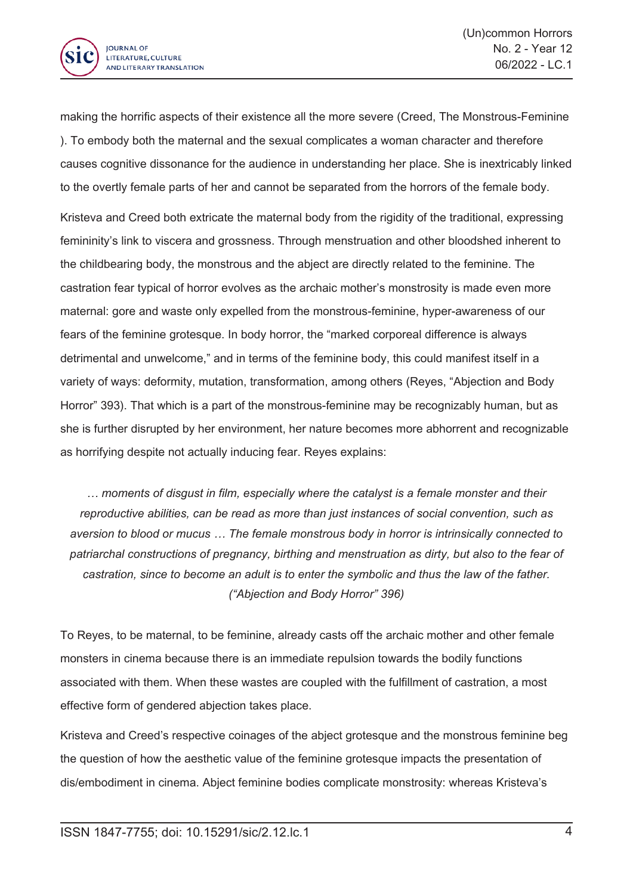

making the horrific aspects of their existence all the more severe (Creed, The Monstrous-Feminine ). To embody both the maternal and the sexual complicates <sup>a</sup> woman character and therefore causes cognitive dissonance for the audience in understanding her place. She is inextricably linked to the overtly female parts of her and cannot be separated from the horrors of the female body.

Kristeva and Creed both extricate the maternal body from the rigidity of the traditional, expressing femininity's link to viscera and grossness. Through menstruation and other bloodshed inherent to the childbearing body, the monstrous and the abject are directly related to the feminine. The castration fear typical of horror evolves as the archaic mother's monstrosity is made even more maternal: gore and waste only expelled from the monstrous-feminine, hyper-awareness of our fears of the feminine grotesque. In body horror, the "marked corporeal difference is always detrimental and unwelcome," and in terms of the feminine body, this could manifest itself in <sup>a</sup> variety of ways: deformity, mutation, transformation, among others (Reyes, "Abjection and Body Horror" 393). That which is <sup>a</sup> part of the monstrous-feminine may be recognizably human, but as she is further disrupted by her environment, her nature becomes more abhorrent and recognizable as horrifying despite not actually inducing fear. Reyes explains:

*… moments of disgust in film, especially where the catalyst is <sup>a</sup> female monster and their reproductive abilities, can be read as more than just instances of social convention, such as aversion to blood or mucus … The female monstrous body in horror is intrinsically connected to patriarchal constructions of pregnancy, birthing and menstruation as dirty, but also to the fear of castration, since to become an adult is to enter the symbolic and thus the law of the father. ("Abjection and Body Horror" 396)*

To Reyes, to be maternal, to be feminine, already casts off the archaic mother and other female monsters in cinema because there is an immediate repulsion towards the bodily functions associated with them. When these wastes are coupled with the fulfillment of castration, <sup>a</sup> most effective form of gendered abjection takes place.

Kristeva and Creed's respective coinages of the abject grotesque and the monstrous feminine beg the question of how the aesthetic value of the feminine grotesque impacts the presentation of dis/embodiment in cinema. Abject feminine bodies complicate monstrosity: whereas Kristeva's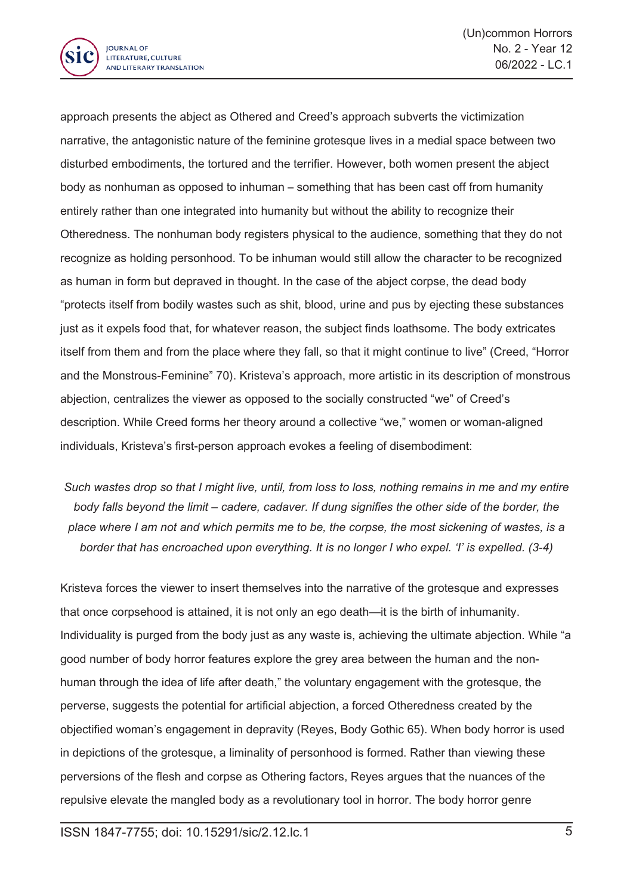

approach presents the abject as Othered and Creed's approach subverts the victimization narrative, the antagonistic nature of the feminine grotesque lives in <sup>a</sup> medial space between two disturbed embodiments, the tortured and the terrifier. However, both women present the abject body as nonhuman as opposed to inhuman – something that has been cast off from humanity entirely rather than one integrated into humanity but without the ability to recognize their Otheredness. The nonhuman body registers physical to the audience, something that they do not recognize as holding personhood. To be inhuman would still allow the character to be recognized as human in form but depraved in thought. In the case of the abject corpse, the dead body "protects itself from bodily wastes such as shit, blood, urine and pus by ejecting these substances just as it expels food that, for whatever reason, the subject finds loathsome. The body extricates itself from them and from the place where they fall, so that it might continue to live" (Creed, "Horror and the Monstrous-Feminine" 70). Kristeva's approach, more artistic in its description of monstrous abjection, centralizes the viewer as opposed to the socially constructed "we" of Creed's description. While Creed forms her theory around <sup>a</sup> collective "we," women or woman-aligned individuals, Kristeva's first-person approach evokes <sup>a</sup> feeling of disembodiment:

Such wastes drop so that I might live, until, from loss to loss, nothing remains in me and my entire *body falls beyond the limit – cadere, cadaver. If dung signifies the other side of the border, the* place where I am not and which permits me to be, the corpse, the most sickening of wastes, is a *border that has encroached upon everything. It is no longer I who expel. 'I' is expelled. (3-4)*

Kristeva forces the viewer to insert themselves into the narrative of the grotesque and expresses that once corpsehood is attained, it is not only an ego death—it is the birth of inhumanity. Individuality is purged from the body just as any waste is, achieving the ultimate abjection. While "a good number of body horror features explore the grey area between the human and the nonhuman through the idea of life after death," the voluntary engagement with the grotesque, the perverse, suggests the potential for artificial abjection, <sup>a</sup> forced Otheredness created by the objectified woman's engagement in depravity (Reyes, Body Gothic 65). When body horror is used in depictions of the grotesque, <sup>a</sup> liminality of personhood is formed. Rather than viewing these perversions of the flesh and corpse as Othering factors, Reyes argues that the nuances of the repulsive elevate the mangled body as <sup>a</sup> revolutionary tool in horror. The body horror genre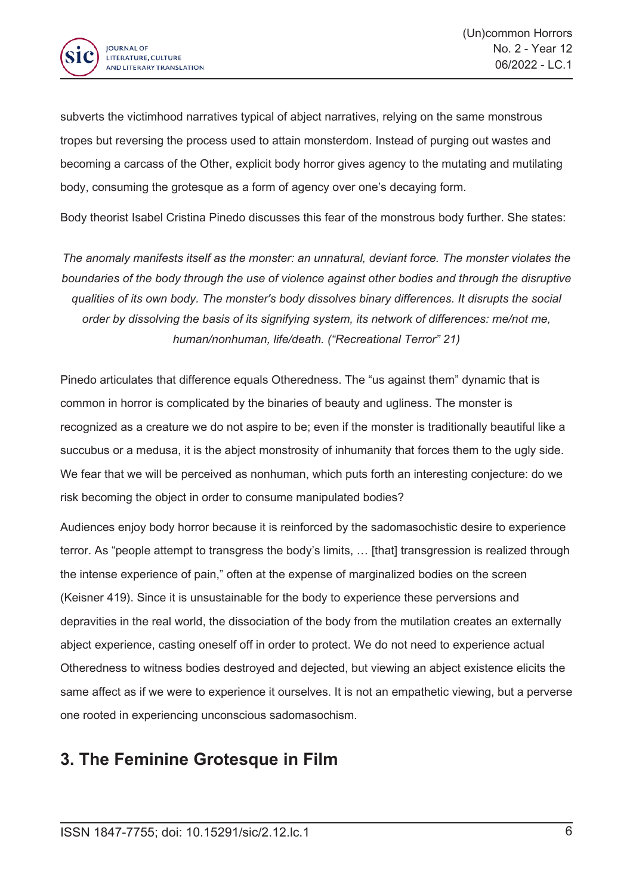

subverts the victimhood narratives typical of abject narratives, relying on the same monstrous tropes but reversing the process used to attain monsterdom. Instead of purging out wastes and becoming <sup>a</sup> carcass of the Other, explicit body horror gives agency to the mutating and mutilating body, consuming the grotesque as <sup>a</sup> form of agency over one's decaying form.

Body theorist Isabel Cristina Pinedo discusses this fear of the monstrous body further. She states:

*The anomaly manifests itself as the monster: an unnatural, deviant force. The monster violates the boundaries of the body through the use of violence against other bodies and through the disruptive qualities of its own body. The monster's body dissolves binary differences. It disrupts the social order by dissolving the basis of its signifying system, its network of differences: me/not me, human/nonhuman, life/death. ("Recreational Terror" 21)*

Pinedo articulates that difference equals Otheredness. The "us against them" dynamic that is common in horror is complicated by the binaries of beauty and ugliness. The monster is recognized as <sup>a</sup> creature we do not aspire to be; even if the monster is traditionally beautiful like <sup>a</sup> succubus or <sup>a</sup> medusa, it is the abject monstrosity of inhumanity that forces them to the ugly side. We fear that we will be perceived as nonhuman, which puts forth an interesting conjecture: do we risk becoming the object in order to consume manipulated bodies?

Audiences enjoy body horror because it is reinforced by the sadomasochistic desire to experience terror. As "people attempt to transgress the body's limits, … [that] transgression is realized through the intense experience of pain," often at the expense of marginalized bodies on the screen (Keisner 419). Since it is unsustainable for the body to experience these perversions and depravities in the real world, the dissociation of the body from the mutilation creates an externally abject experience, casting oneself off in order to protect. We do not need to experience actual Otheredness to witness bodies destroyed and dejected, but viewing an abject existence elicits the same affect as if we were to experience it ourselves. It is not an empathetic viewing, but <sup>a</sup> perverse one rooted in experiencing unconscious sadomasochism.

#### **3. The Feminine Grotesque in Film**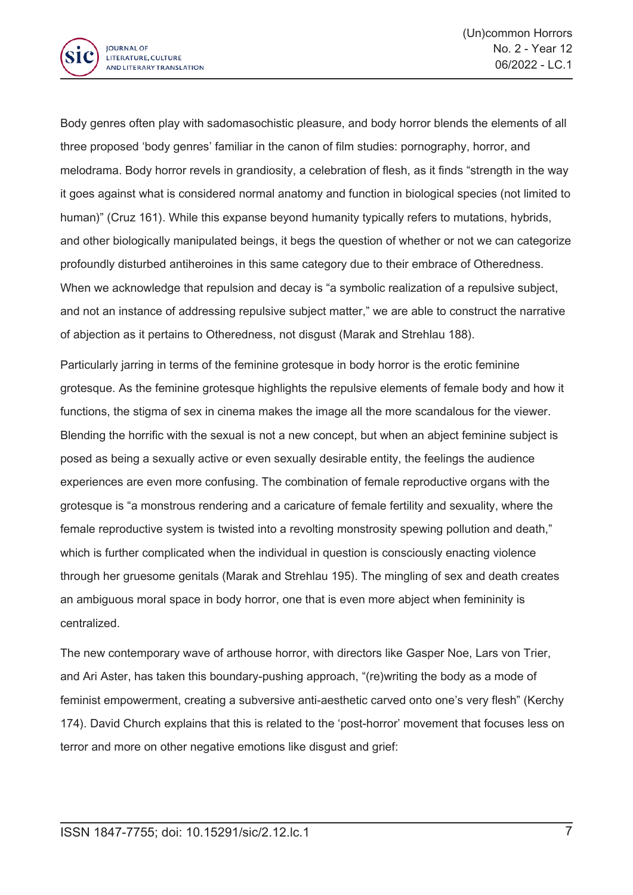

Body genres often play with sadomasochistic pleasure, and body horror blends the elements of all three proposed 'body genres' familiar in the canon of film studies: pornography, horror, and melodrama. Body horror revels in grandiosity, <sup>a</sup> celebration of flesh, as it finds "strength in the way it goes against what is considered normal anatomy and function in biological species (not limited to human)" (Cruz 161). While this expanse beyond humanity typically refers to mutations, hybrids, and other biologically manipulated beings, it begs the question of whether or not we can categorize profoundly disturbed antiheroines in this same category due to their embrace of Otheredness. When we acknowledge that repulsion and decay is "a symbolic realization of <sup>a</sup> repulsive subject, and not an instance of addressing repulsive subject matter," we are able to construct the narrative of abjection as it pertains to Otheredness, not disgust (Marak and Strehlau 188).

Particularly jarring in terms of the feminine grotesque in body horror is the erotic feminine grotesque. As the feminine grotesque highlights the repulsive elements of female body and how it functions, the stigma of sex in cinema makes the image all the more scandalous for the viewer. Blending the horrific with the sexual is not <sup>a</sup> new concept, but when an abject feminine subject is posed as being <sup>a</sup> sexually active or even sexually desirable entity, the feelings the audience experiences are even more confusing. The combination of female reproductive organs with the grotesque is "a monstrous rendering and <sup>a</sup> caricature of female fertility and sexuality, where the female reproductive system is twisted into <sup>a</sup> revolting monstrosity spewing pollution and death," which is further complicated when the individual in question is consciously enacting violence through her gruesome genitals (Marak and Strehlau 195). The mingling of sex and death creates an ambiguous moral space in body horror, one that is even more abject when femininity is centralized.

The new contemporary wave of arthouse horror, with directors like Gasper Noe, Lars von Trier, and Ari Aster, has taken this boundary-pushing approach, "(re)writing the body as <sup>a</sup> mode of feminist empowerment, creating <sup>a</sup> subversive anti-aesthetic carved onto one's very flesh" (Kerchy 174). David Church explains that this is related to the 'post-horror' movement that focuses less on terror and more on other negative emotions like disgust and grief: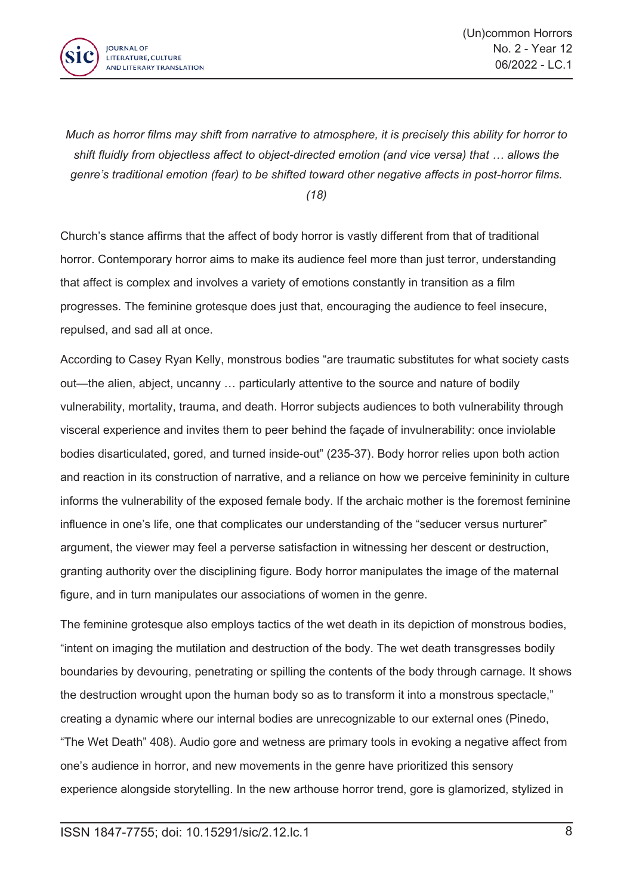

Much as horror films may shift from narrative to atmosphere, it is precisely this ability for horror to *shift fluidly from objectless affect to object-directed emotion (and vice versa) that … allows the genre's traditional emotion (fear) to be shifted toward other negative affects in post-horror films. (18)*

Church's stance affirms that the affect of body horror is vastly different from that of traditional horror. Contemporary horror aims to make its audience feel more than just terror, understanding that affect is complex and involves <sup>a</sup> variety of emotions constantly in transition as <sup>a</sup> film progresses. The feminine grotesque does just that, encouraging the audience to feel insecure, repulsed, and sad all at once.

According to Casey Ryan Kelly, monstrous bodies "are traumatic substitutes for what society casts out—the alien, abject, uncanny … particularly attentive to the source and nature of bodily vulnerability, mortality, trauma, and death. Horror subjects audiences to both vulnerability through visceral experience and invites them to peer behind the façade of invulnerability: once inviolable bodies disarticulated, gored, and turned inside-out" (235-37). Body horror relies upon both action and reaction in its construction of narrative, and <sup>a</sup> reliance on how we perceive femininity in culture informs the vulnerability of the exposed female body. If the archaic mother is the foremost feminine influence in one's life, one that complicates our understanding of the "seducer versus nurturer" argument, the viewer may feel <sup>a</sup> perverse satisfaction in witnessing her descent or destruction, granting authority over the disciplining figure. Body horror manipulates the image of the maternal figure, and in turn manipulates our associations of women in the genre.

The feminine grotesque also employs tactics of the wet death in its depiction of monstrous bodies, "intent on imaging the mutilation and destruction of the body. The wet death transgresses bodily boundaries by devouring, penetrating or spilling the contents of the body through carnage. It shows the destruction wrought upon the human body so as to transform it into <sup>a</sup> monstrous spectacle," creating <sup>a</sup> dynamic where our internal bodies are unrecognizable to our external ones (Pinedo, "The Wet Death" 408). Audio gore and wetness are primary tools in evoking <sup>a</sup> negative affect from one's audience in horror, and new movements in the genre have prioritized this sensory experience alongside storytelling. In the new arthouse horror trend, gore is glamorized, stylized in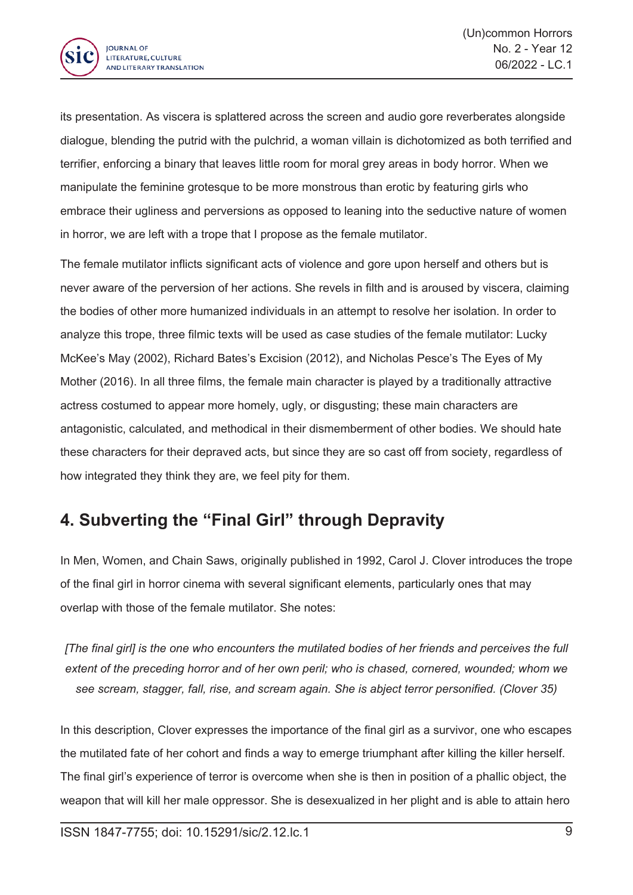

its presentation. As viscera is splattered across the screen and audio gore reverberates alongside dialogue, blending the putrid with the pulchrid, <sup>a</sup> woman villain is dichotomized as both terrified and terrifier, enforcing <sup>a</sup> binary that leaves little room for moral grey areas in body horror. When we manipulate the feminine grotesque to be more monstrous than erotic by featuring girls who embrace their ugliness and perversions as opposed to leaning into the seductive nature of women in horror, we are left with <sup>a</sup> trope that I propose as the female mutilator.

The female mutilator inflicts significant acts of violence and gore upon herself and others but is never aware of the perversion of her actions. She revels in filth and is aroused by viscera, claiming the bodies of other more humanized individuals in an attempt to resolve her isolation. In order to analyze this trope, three filmic texts will be used as case studies of the female mutilator: Lucky McKee's May (2002), Richard Bates's Excision (2012), and Nicholas Pesce's The Eyes of My Mother (2016). In all three films, the female main character is played by <sup>a</sup> traditionally attractive actress costumed to appear more homely, ugly, or disgusting; these main characters are antagonistic, calculated, and methodical in their dismemberment of other bodies. We should hate these characters for their depraved acts, but since they are so cast off from society, regardless of how integrated they think they are, we feel pity for them.

#### **4. Subverting the "Final Girl" through Depravity**

In Men, Women, and Chain Saws, originally published in 1992, Carol J. Clover introduces the trope of the final girl in horror cinema with several significant elements, particularly ones that may overlap with those of the female mutilator. She notes:

[The final girl] is the one who encounters the mutilated bodies of her friends and perceives the full *extent of the preceding horror and of her own peril; who is chased, cornered, wounded; whom we see scream, stagger, fall, rise, and scream again. She is abject terror personified. (Clover 35)*

In this description, Clover expresses the importance of the final girl as <sup>a</sup> survivor, one who escapes the mutilated fate of her cohort and finds <sup>a</sup> way to emerge triumphant after killing the killer herself. The final girl's experience of terror is overcome when she is then in position of <sup>a</sup> phallic object, the weapon that will kill her male oppressor. She is desexualized in her plight and is able to attain hero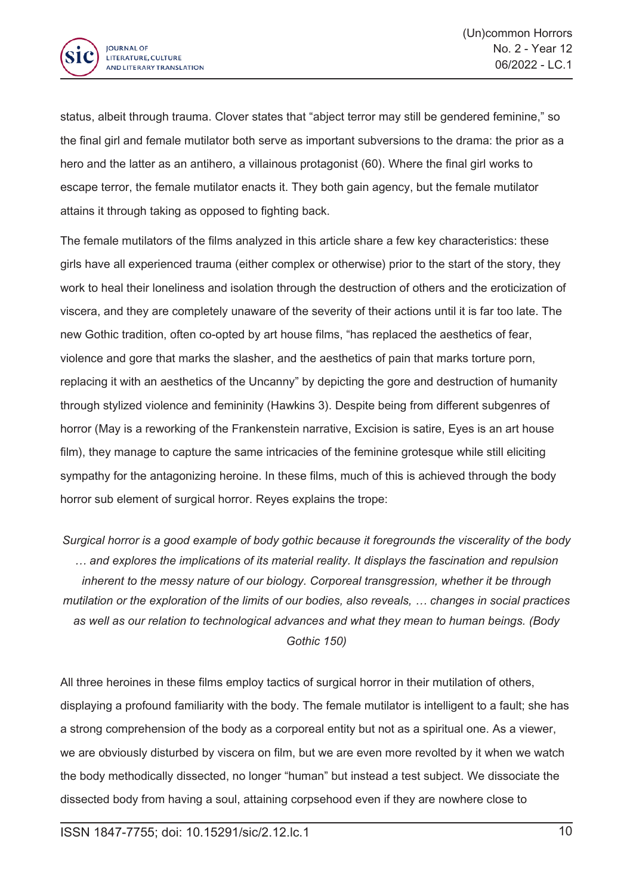

status, albeit through trauma. Clover states that "abject terror may still be gendered feminine," so the final girl and female mutilator both serve as important subversions to the drama: the prior as <sup>a</sup> hero and the latter as an antihero, <sup>a</sup> villainous protagonist (60). Where the final girl works to escape terror, the female mutilator enacts it. They both gain agency, but the female mutilator attains it through taking as opposed to fighting back.

The female mutilators of the films analyzed in this article share <sup>a</sup> few key characteristics: these girls have all experienced trauma (either complex or otherwise) prior to the start of the story, they work to heal their loneliness and isolation through the destruction of others and the eroticization of viscera, and they are completely unaware of the severity of their actions until it is far too late. The new Gothic tradition, often co-opted by art house films, "has replaced the aesthetics of fear, violence and gore that marks the slasher, and the aesthetics of pain that marks torture porn, replacing it with an aesthetics of the Uncanny" by depicting the gore and destruction of humanity through stylized violence and femininity (Hawkins 3). Despite being from different subgenres of horror (May is <sup>a</sup> reworking of the Frankenstein narrative, Excision is satire, Eyes is an art house film), they manage to capture the same intricacies of the feminine grotesque while still eliciting sympathy for the antagonizing heroine. In these films, much of this is achieved through the body horror sub element of surgical horror. Reyes explains the trope:

*Surgical horror is <sup>a</sup> good example of body gothic because it foregrounds the viscerality of the body … and explores the implications of its material reality. It displays the fascination and repulsion inherent to the messy nature of our biology. Corporeal transgression, whether it be through mutilation or the exploration of the limits of our bodies, also reveals, … changes in social practices as well as our relation to technological advances and what they mean to human beings. (Body Gothic 150)*

All three heroines in these films employ tactics of surgical horror in their mutilation of others, displaying <sup>a</sup> profound familiarity with the body. The female mutilator is intelligent to <sup>a</sup> fault; she has <sup>a</sup> strong comprehension of the body as <sup>a</sup> corporeal entity but not as <sup>a</sup> spiritual one. As <sup>a</sup> viewer, we are obviously disturbed by viscera on film, but we are even more revolted by it when we watch the body methodically dissected, no longer "human" but instead <sup>a</sup> test subject. We dissociate the dissected body from having <sup>a</sup> soul, attaining corpsehood even if they are nowhere close to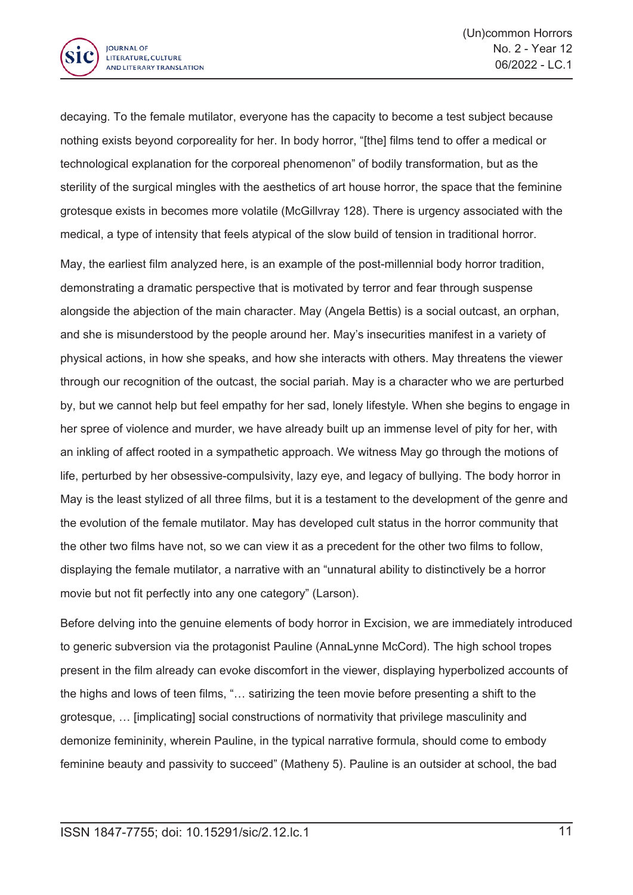

decaying. To the female mutilator, everyone has the capacity to become <sup>a</sup> test subject because nothing exists beyond corporeality for her. In body horror, "[the] films tend to offer <sup>a</sup> medical or technological explanation for the corporeal phenomenon" of bodily transformation, but as the sterility of the surgical mingles with the aesthetics of art house horror, the space that the feminine grotesque exists in becomes more volatile (McGillvray 128). There is urgency associated with the medical, <sup>a</sup> type of intensity that feels atypical of the slow build of tension in traditional horror.

May, the earliest film analyzed here, is an example of the post-millennial body horror tradition, demonstrating <sup>a</sup> dramatic perspective that is motivated by terror and fear through suspense alongside the abjection of the main character. May (Angela Bettis) is <sup>a</sup> social outcast, an orphan, and she is misunderstood by the people around her. May's insecurities manifest in <sup>a</sup> variety of physical actions, in how she speaks, and how she interacts with others. May threatens the viewer through our recognition of the outcast, the social pariah. May is <sup>a</sup> character who we are perturbed by, but we cannot help but feel empathy for her sad, lonely lifestyle. When she begins to engage in her spree of violence and murder, we have already built up an immense level of pity for her, with an inkling of affect rooted in <sup>a</sup> sympathetic approach. We witness May go through the motions of life, perturbed by her obsessive-compulsivity, lazy eye, and legacy of bullying. The body horror in May is the least stylized of all three films, but it is <sup>a</sup> testament to the development of the genre and the evolution of the female mutilator. May has developed cult status in the horror community that the other two films have not, so we can view it as <sup>a</sup> precedent for the other two films to follow, displaying the female mutilator, <sup>a</sup> narrative with an "unnatural ability to distinctively be <sup>a</sup> horror movie but not fit perfectly into any one category" (Larson).

Before delving into the genuine elements of body horror in Excision, we are immediately introduced to generic subversion via the protagonist Pauline (AnnaLynne McCord). The high school tropes present in the film already can evoke discomfort in the viewer, displaying hyperbolized accounts of the highs and lows of teen films, "… satirizing the teen movie before presenting <sup>a</sup> shift to the grotesque, … [implicating] social constructions of normativity that privilege masculinity and demonize femininity, wherein Pauline, in the typical narrative formula, should come to embody feminine beauty and passivity to succeed" (Matheny 5). Pauline is an outsider at school, the bad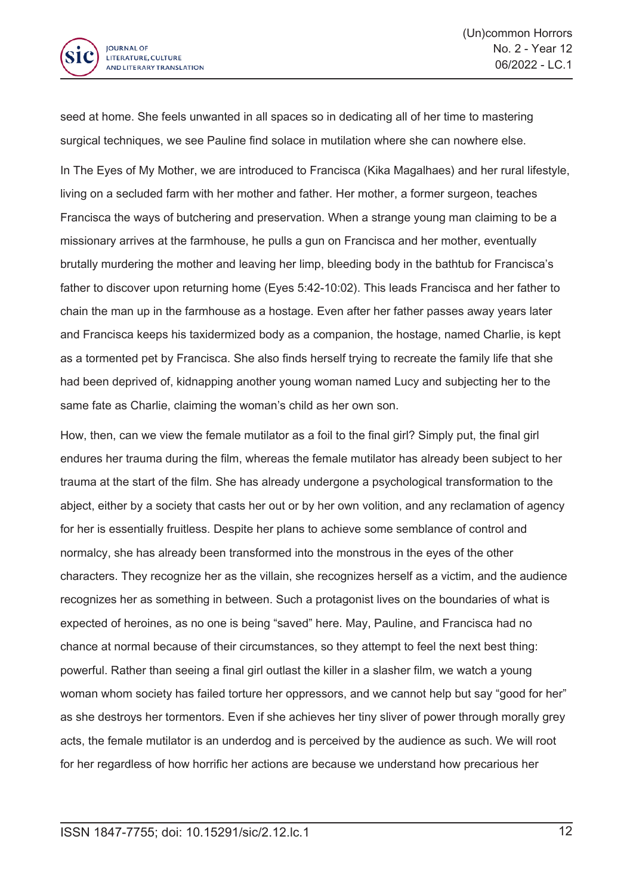

seed at home. She feels unwanted in all spaces so in dedicating all of her time to mastering surgical techniques, we see Pauline find solace in mutilation where she can nowhere else.

In The Eyes of My Mother, we are introduced to Francisca (Kika Magalhaes) and her rural lifestyle, living on <sup>a</sup> secluded farm with her mother and father. Her mother, <sup>a</sup> former surgeon, teaches Francisca the ways of butchering and preservation. When <sup>a</sup> strange young man claiming to be <sup>a</sup> missionary arrives at the farmhouse, he pulls <sup>a</sup> gun on Francisca and her mother, eventually brutally murdering the mother and leaving her limp, bleeding body in the bathtub for Francisca's father to discover upon returning home (Eyes 5:42-10:02). This leads Francisca and her father to chain the man up in the farmhouse as <sup>a</sup> hostage. Even after her father passes away years later and Francisca keeps his taxidermized body as <sup>a</sup> companion, the hostage, named Charlie, is kept as <sup>a</sup> tormented pet by Francisca. She also finds herself trying to recreate the family life that she had been deprived of, kidnapping another young woman named Lucy and subjecting her to the same fate as Charlie, claiming the woman's child as her own son.

How, then, can we view the female mutilator as <sup>a</sup> foil to the final girl? Simply put, the final girl endures her trauma during the film, whereas the female mutilator has already been subject to her trauma at the start of the film. She has already undergone <sup>a</sup> psychological transformation to the abject, either by <sup>a</sup> society that casts her out or by her own volition, and any reclamation of agency for her is essentially fruitless. Despite her plans to achieve some semblance of control and normalcy, she has already been transformed into the monstrous in the eyes of the other characters. They recognize her as the villain, she recognizes herself as <sup>a</sup> victim, and the audience recognizes her as something in between. Such <sup>a</sup> protagonist lives on the boundaries of what is expected of heroines, as no one is being "saved" here. May, Pauline, and Francisca had no chance at normal because of their circumstances, so they attempt to feel the next best thing: powerful. Rather than seeing <sup>a</sup> final girl outlast the killer in <sup>a</sup> slasher film, we watch <sup>a</sup> young woman whom society has failed torture her oppressors, and we cannot help but say "good for her" as she destroys her tormentors. Even if she achieves her tiny sliver of power through morally grey acts, the female mutilator is an underdog and is perceived by the audience as such. We will root for her regardless of how horrific her actions are because we understand how precarious her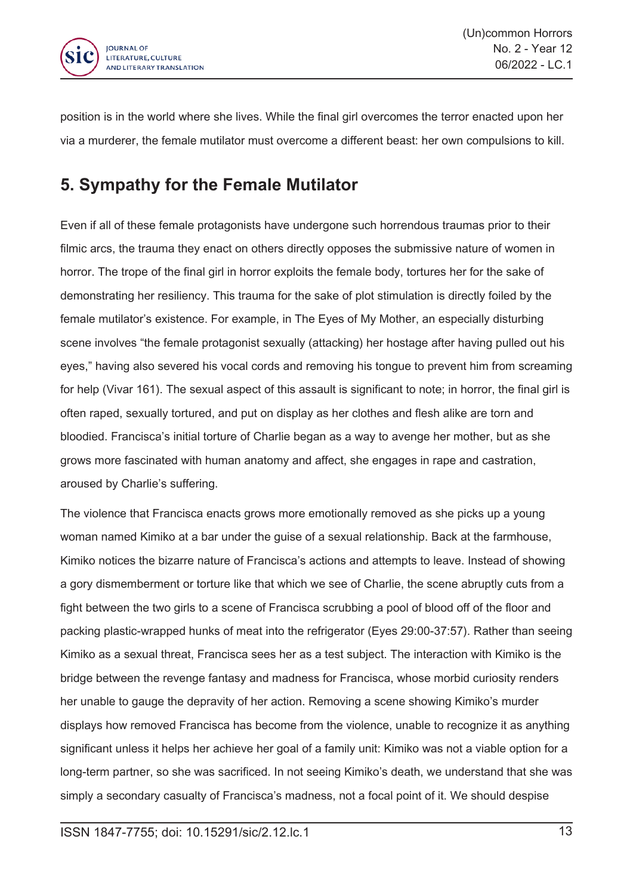

position is in the world where she lives. While the final girl overcomes the terror enacted upon her via <sup>a</sup> murderer, the female mutilator must overcome <sup>a</sup> different beast: her own compulsions to kill.

#### **5. Sympathy for the Female Mutilator**

Even if all of these female protagonists have undergone such horrendous traumas prior to their filmic arcs, the trauma they enact on others directly opposes the submissive nature of women in horror. The trope of the final girl in horror exploits the female body, tortures her for the sake of demonstrating her resiliency. This trauma for the sake of plot stimulation is directly foiled by the female mutilator's existence. For example, in The Eyes of My Mother, an especially disturbing scene involves "the female protagonist sexually (attacking) her hostage after having pulled out his eyes," having also severed his vocal cords and removing his tongue to prevent him from screaming for help (Vivar 161). The sexual aspect of this assault is significant to note; in horror, the final girl is often raped, sexually tortured, and put on display as her clothes and flesh alike are torn and bloodied. Francisca's initial torture of Charlie began as <sup>a</sup> way to avenge her mother, but as she grows more fascinated with human anatomy and affect, she engages in rape and castration, aroused by Charlie's suffering.

The violence that Francisca enacts grows more emotionally removed as she picks up <sup>a</sup> young woman named Kimiko at <sup>a</sup> bar under the guise of <sup>a</sup> sexual relationship. Back at the farmhouse, Kimiko notices the bizarre nature of Francisca's actions and attempts to leave. Instead of showing <sup>a</sup> gory dismemberment or torture like that which we see of Charlie, the scene abruptly cuts from <sup>a</sup> fight between the two girls to <sup>a</sup> scene of Francisca scrubbing <sup>a</sup> pool of blood off of the floor and packing plastic-wrapped hunks of meat into the refrigerator (Eyes 29:00-37:57). Rather than seeing Kimiko as <sup>a</sup> sexual threat, Francisca sees her as <sup>a</sup> test subject. The interaction with Kimiko is the bridge between the revenge fantasy and madness for Francisca, whose morbid curiosity renders her unable to gauge the depravity of her action. Removing <sup>a</sup> scene showing Kimiko's murder displays how removed Francisca has become from the violence, unable to recognize it as anything significant unless it helps her achieve her goal of <sup>a</sup> family unit: Kimiko was not <sup>a</sup> viable option for <sup>a</sup> long-term partner, so she was sacrificed. In not seeing Kimiko's death, we understand that she was simply <sup>a</sup> secondary casualty of Francisca's madness, not <sup>a</sup> focal point of it. We should despise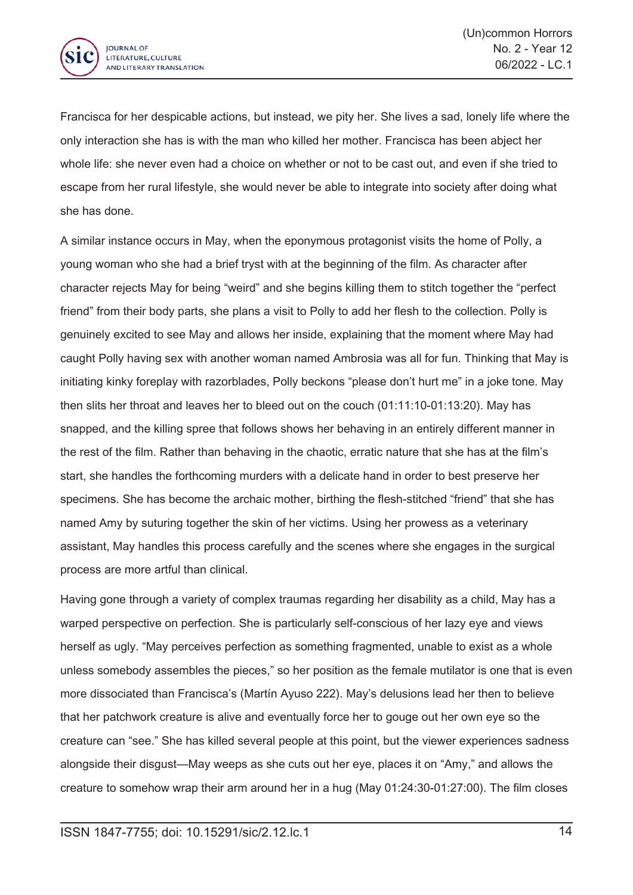

Francisca for her despicable actions, but instead, we pity her. She lives <sup>a</sup> sad, lonely life where the only interaction she has is with the man who killed her mother. Francisca has been abject her whole life: she never even had <sup>a</sup> choice on whether or not to be cast out, and even if she tried to escape from her rural lifestyle, she would never be able to integrate into society after doing what she has done.

A similar instance occurs in May, when the eponymous protagonist visits the home of Polly, <sup>a</sup> young woman who she had <sup>a</sup> brief tryst with at the beginning of the film. As character after character rejects May for being "weird" and she begins killing them to stitch together the "perfect friend" from their body parts, she plans <sup>a</sup> visit to Polly to add her flesh to the collection. Polly is genuinely excited to see May and allows her inside, explaining that the moment where May had caught Polly having sex with another woman named Ambrosia was all for fun. Thinking that May is initiating kinky foreplay with razorblades, Polly beckons "please don't hurt me" in <sup>a</sup> joke tone. May then slits her throat and leaves her to bleed out on the couch (01:11:10-01:13:20). May has snapped, and the killing spree that follows shows her behaving in an entirely different manner in the rest of the film. Rather than behaving in the chaotic, erratic nature that she has at the film's start, she handles the forthcoming murders with <sup>a</sup> delicate hand in order to best preserve her specimens. She has become the archaic mother, birthing the flesh-stitched "friend" that she has named Amy by suturing together the skin of her victims. Using her prowess as <sup>a</sup> veterinary assistant, May handles this process carefully and the scenes where she engages in the surgical process are more artful than clinical.

Having gone through <sup>a</sup> variety of complex traumas regarding her disability as <sup>a</sup> child, May has <sup>a</sup> warped perspective on perfection. She is particularly self-conscious of her lazy eye and views herself as ugly. "May perceives perfection as something fragmented, unable to exist as <sup>a</sup> whole unless somebody assembles the pieces," so her position as the female mutilator is one that is even more dissociated than Francisca's (Martín Ayuso 222). May's delusions lead her then to believe that her patchwork creature is alive and eventually force her to gouge out her own eye so the creature can "see." She has killed several people at this point, but the viewer experiences sadness alongside their disgust—May weeps as she cuts out her eye, places it on "Amy," and allows the creature to somehow wrap their arm around her in <sup>a</sup> hug (May 01:24:30-01:27:00). The film closes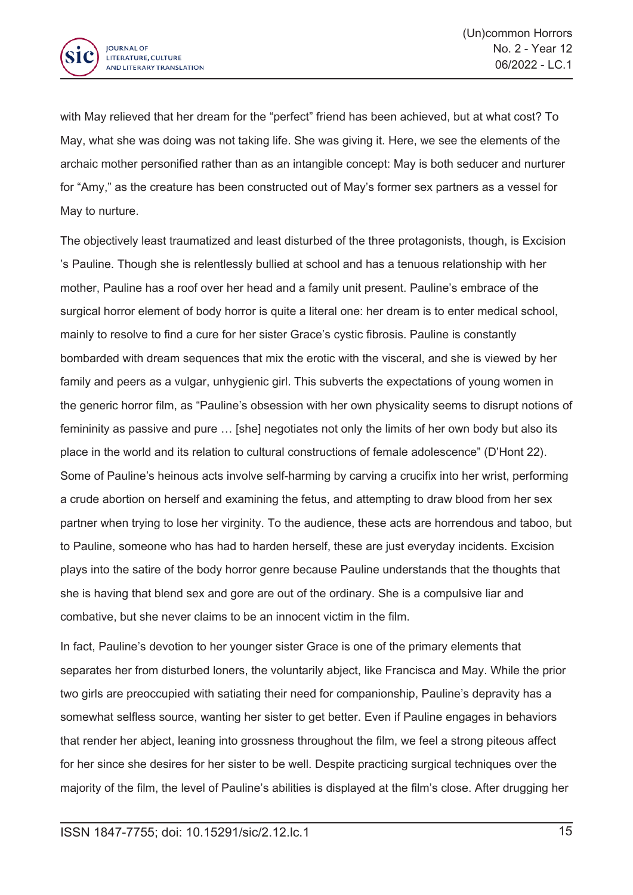

with May relieved that her dream for the "perfect" friend has been achieved, but at what cost? To May, what she was doing was not taking life. She was giving it. Here, we see the elements of the archaic mother personified rather than as an intangible concept: May is both seducer and nurturer for "Amy," as the creature has been constructed out of May's former sex partners as <sup>a</sup> vessel for May to nurture.

The objectively least traumatized and least disturbed of the three protagonists, though, is Excision 's Pauline. Though she is relentlessly bullied at school and has <sup>a</sup> tenuous relationship with her mother, Pauline has <sup>a</sup> roof over her head and <sup>a</sup> family unit present. Pauline's embrace of the surgical horror element of body horror is quite <sup>a</sup> literal one: her dream is to enter medical school, mainly to resolve to find <sup>a</sup> cure for her sister Grace's cystic fibrosis. Pauline is constantly bombarded with dream sequences that mix the erotic with the visceral, and she is viewed by her family and peers as <sup>a</sup> vulgar, unhygienic girl. This subverts the expectations of young women in the generic horror film, as "Pauline's obsession with her own physicality seems to disrupt notions of femininity as passive and pure … [she] negotiates not only the limits of her own body but also its place in the world and its relation to cultural constructions of female adolescence" (D'Hont 22). Some of Pauline's heinous acts involve self-harming by carving <sup>a</sup> crucifix into her wrist, performing <sup>a</sup> crude abortion on herself and examining the fetus, and attempting to draw blood from her sex partner when trying to lose her virginity. To the audience, these acts are horrendous and taboo, but to Pauline, someone who has had to harden herself, these are just everyday incidents. Excision plays into the satire of the body horror genre because Pauline understands that the thoughts that she is having that blend sex and gore are out of the ordinary. She is <sup>a</sup> compulsive liar and combative, but she never claims to be an innocent victim in the film.

In fact, Pauline's devotion to her younger sister Grace is one of the primary elements that separates her from disturbed loners, the voluntarily abject, like Francisca and May. While the prior two girls are preoccupied with satiating their need for companionship, Pauline's depravity has <sup>a</sup> somewhat selfless source, wanting her sister to get better. Even if Pauline engages in behaviors that render her abject, leaning into grossness throughout the film, we feel <sup>a</sup> strong piteous affect for her since she desires for her sister to be well. Despite practicing surgical techniques over the majority of the film, the level of Pauline's abilities is displayed at the film's close. After drugging her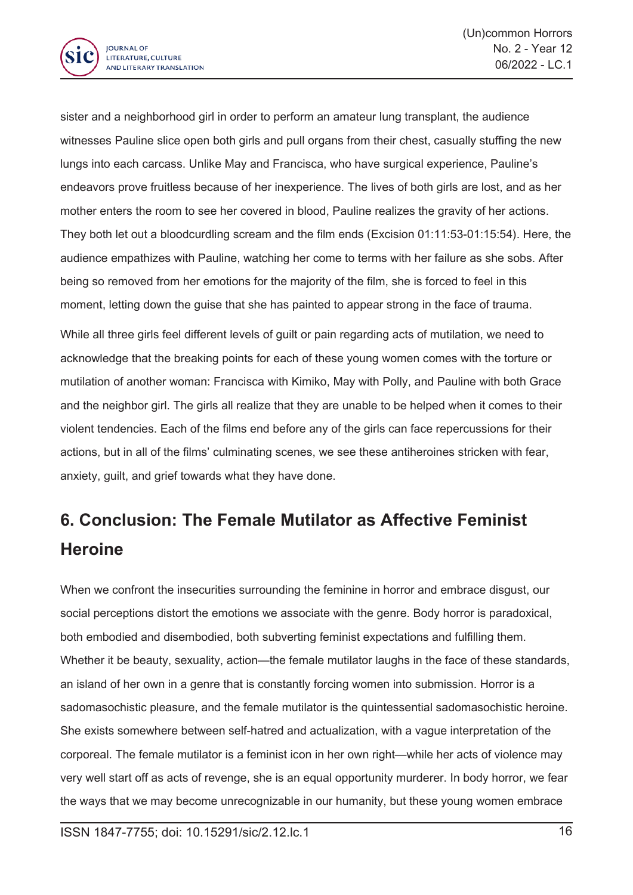

sister and <sup>a</sup> neighborhood girl in order to perform an amateur lung transplant, the audience witnesses Pauline slice open both girls and pull organs from their chest, casually stuffing the new lungs into each carcass. Unlike May and Francisca, who have surgical experience, Pauline's endeavors prove fruitless because of her inexperience. The lives of both girls are lost, and as her mother enters the room to see her covered in blood, Pauline realizes the gravity of her actions. They both let out <sup>a</sup> bloodcurdling scream and the film ends (Excision 01:11:53-01:15:54). Here, the audience empathizes with Pauline, watching her come to terms with her failure as she sobs. After being so removed from her emotions for the majority of the film, she is forced to feel in this moment, letting down the guise that she has painted to appear strong in the face of trauma. While all three girls feel different levels of guilt or pain regarding acts of mutilation, we need to acknowledge that the breaking points for each of these young women comes with the torture or mutilation of another woman: Francisca with Kimiko, May with Polly, and Pauline with both Grace and the neighbor girl. The girls all realize that they are unable to be helped when it comes to their violent tendencies. Each of the films end before any of the girls can face repercussions for their actions, but in all of the films' culminating scenes, we see these antiheroines stricken with fear, anxiety, guilt, and grief towards what they have done.

## **6. Conclusion: The Female Mutilator as Affective Feminist Heroine**

When we confront the insecurities surrounding the feminine in horror and embrace disgust, our social perceptions distort the emotions we associate with the genre. Body horror is paradoxical, both embodied and disembodied, both subverting feminist expectations and fulfilling them. Whether it be beauty, sexuality, action—the female mutilator laughs in the face of these standards, an island of her own in <sup>a</sup> genre that is constantly forcing women into submission. Horror is <sup>a</sup> sadomasochistic pleasure, and the female mutilator is the quintessential sadomasochistic heroine. She exists somewhere between self-hatred and actualization, with <sup>a</sup> vague interpretation of the corporeal. The female mutilator is <sup>a</sup> feminist icon in her own right—while her acts of violence may very well start off as acts of revenge, she is an equal opportunity murderer. In body horror, we fear the ways that we may become unrecognizable in our humanity, but these young women embrace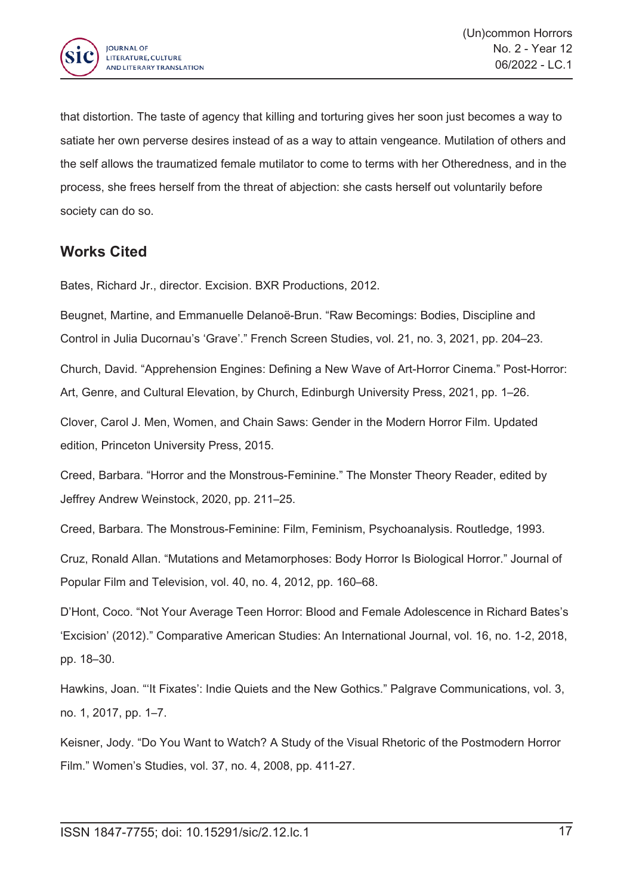

that distortion. The taste of agency that killing and torturing gives her soon just becomes <sup>a</sup> way to satiate her own perverse desires instead of as <sup>a</sup> way to attain vengeance. Mutilation of others and the self allows the traumatized female mutilator to come to terms with her Otheredness, and in the process, she frees herself from the threat of abjection: she casts herself out voluntarily before society can do so.

#### **Works Cited**

Bates, Richard Jr., director. Excision. BXR Productions, 2012.

Beugnet, Martine, and Emmanuelle Delanoë-Brun. "Raw Becomings: Bodies, Discipline and Control in Julia Ducornau's 'Grave'." French Screen Studies, vol. 21, no. 3, 2021, pp. 204–23.

Church, David. "Apprehension Engines: Defining <sup>a</sup> New Wave of Art-Horror Cinema." Post-Horror: Art, Genre, and Cultural Elevation, by Church, Edinburgh University Press, 2021, pp. 1–26.

Clover, Carol J. Men, Women, and Chain Saws: Gender in the Modern Horror Film. Updated edition, Princeton University Press, 2015.

Creed, Barbara. "Horror and the Monstrous-Feminine." The Monster Theory Reader, edited by Jeffrey Andrew Weinstock, 2020, pp. 211–25.

Creed, Barbara. The Monstrous-Feminine: Film, Feminism, Psychoanalysis. Routledge, 1993.

Cruz, Ronald Allan. "Mutations and Metamorphoses: Body Horror Is Biological Horror." Journal of Popular Film and Television, vol. 40, no. 4, 2012, pp. 160–68.

D'Hont, Coco. "Not Your Average Teen Horror: Blood and Female Adolescence in Richard Bates's 'Excision' (2012)." Comparative American Studies: An International Journal, vol. 16, no. 1-2, 2018, pp. 18–30.

Hawkins, Joan. "'It Fixates': Indie Quiets and the New Gothics." Palgrave Communications, vol. 3, no. 1, 2017, pp. 1–7.

Keisner, Jody. "Do You Want to Watch? A Study of the Visual Rhetoric of the Postmodern Horror Film." Women's Studies, vol. 37, no. 4, 2008, pp. 411-27.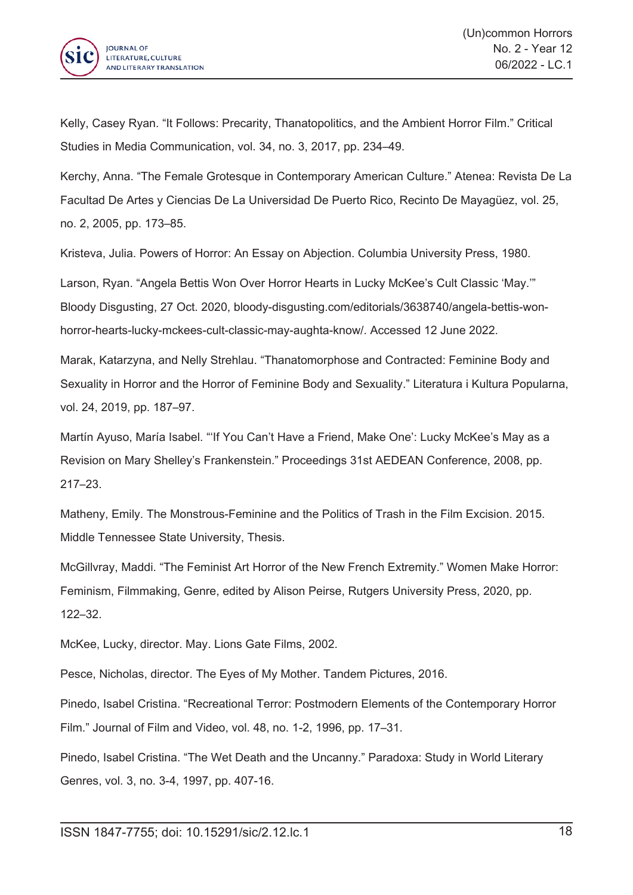

Kelly, Casey Ryan. "It Follows: Precarity, Thanatopolitics, and the Ambient Horror Film." Critical Studies in Media Communication, vol. 34, no. 3, 2017, pp. 234–49.

Kerchy, Anna. "The Female Grotesque in Contemporary American Culture." Atenea: Revista De La Facultad De Artes y Ciencias De La Universidad De Puerto Rico, Recinto De Mayagüez, vol. 25, no. 2, 2005, pp. 173–85.

Kristeva, Julia. Powers of Horror: An Essay on Abjection. Columbia University Press, 1980.

Larson, Ryan. "Angela Bettis Won Over Horror Hearts in Lucky McKee's Cult Classic 'May.'" Bloody Disgusting, 27 Oct. 2020, bloody-disgusting.com/editorials/3638740/angela-bettis-wonhorror-hearts-lucky-mckees-cult-classic-may-aughta-know/. Accessed 12 June 2022.

Marak, Katarzyna, and Nelly Strehlau. "Thanatomorphose and Contracted: Feminine Body and Sexuality in Horror and the Horror of Feminine Body and Sexuality." Literatura i Kultura Popularna, vol. 24, 2019, pp. 187–97.

Martín Ayuso, María Isabel. "'If You Can't Have <sup>a</sup> Friend, Make One': Lucky McKee's May as <sup>a</sup> Revision on Mary Shelley's Frankenstein." Proceedings 31st AEDEAN Conference, 2008, pp. 217–23.

Matheny, Emily. The Monstrous-Feminine and the Politics of Trash in the Film Excision. 2015. Middle Tennessee State University, Thesis.

McGillvray, Maddi. "The Feminist Art Horror of the New French Extremity." Women Make Horror: Feminism, Filmmaking, Genre, edited by Alison Peirse, Rutgers University Press, 2020, pp. 122–32.

McKee, Lucky, director. May. Lions Gate Films, 2002.

Pesce, Nicholas, director. The Eyes of My Mother. Tandem Pictures, 2016.

Pinedo, Isabel Cristina. "Recreational Terror: Postmodern Elements of the Contemporary Horror Film." Journal of Film and Video, vol. 48, no. 1-2, 1996, pp. 17–31.

Pinedo, Isabel Cristina. "The Wet Death and the Uncanny." Paradoxa: Study in World Literary Genres, vol. 3, no. 3-4, 1997, pp. 407-16.